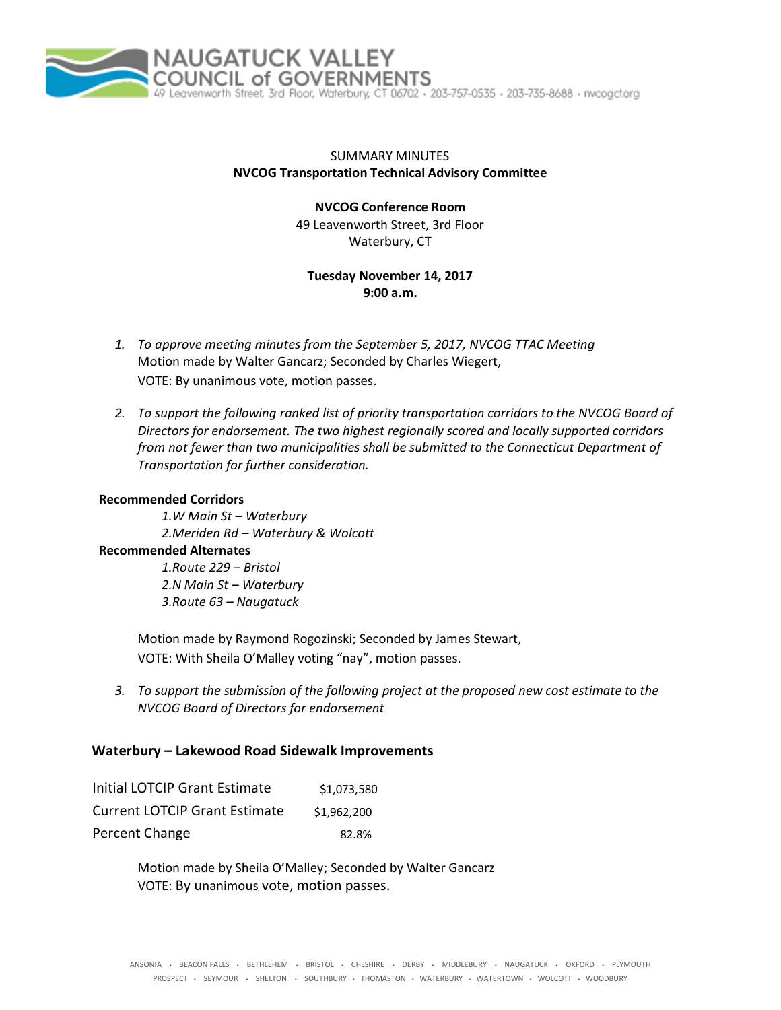

## SUMMARY MINUTES **NVCOG Transportation Technical Advisory Committee**

**NVCOG Conference Room** 49 Leavenworth Street, 3rd Floor Waterbury, CT

**Tuesday November 14, 2017 9:00 a.m.**

- *1. To approve meeting minutes from the September 5, 2017, NVCOG TTAC Meeting* Motion made by Walter Gancarz; Seconded by Charles Wiegert, VOTE: By unanimous vote, motion passes.
- *2. To support the following ranked list of priority transportation corridors to the NVCOG Board of Directors for endorsement. The two highest regionally scored and locally supported corridors from not fewer than two municipalities shall be submitted to the Connecticut Department of Transportation for further consideration.*

#### **Recommended Corridors**

*1.W Main St – Waterbury 2.Meriden Rd – Waterbury & Wolcott*

### **Recommended Alternates**

*1.Route 229 – Bristol 2.N Main St – Waterbury 3.Route 63 – Naugatuck*

Motion made by Raymond Rogozinski; Seconded by James Stewart, VOTE: With Sheila O'Malley voting "nay", motion passes.

*3. To support the submission of the following project at the proposed new cost estimate to the NVCOG Board of Directors for endorsement*

# **Waterbury – Lakewood Road Sidewalk Improvements**

| Initial LOTCIP Grant Estimate        | \$1.073.580 |
|--------------------------------------|-------------|
| <b>Current LOTCIP Grant Estimate</b> | \$1.962.200 |
| Percent Change                       | 82.8%       |

Motion made by Sheila O'Malley; Seconded by Walter Gancarz VOTE: By unanimous vote, motion passes.